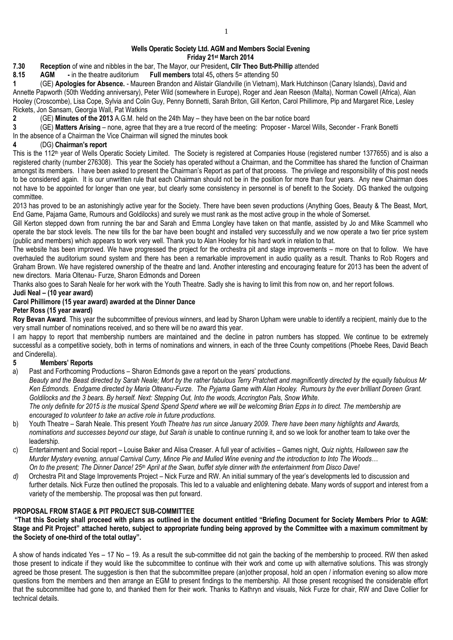### **Wells Operatic Society Ltd. AGM and Members Social Evening Friday 21st March 2014**

**7.30 Reception** of wine and nibbles in the bar, The Mayor, our President**, Cllr Theo Butt-Phillip** attended

**8.15 AGM -** in the theatre auditorium **Full members** total 45**,** others 5= attending 50

**1** (GE) **Apologies for Absence.** - Maureen Brandon and Alistair Glandville (in Vietnam), Mark Hutchinson (Canary Islands), David and Annette Papworth (50th Wedding anniversary), Peter Wild (somewhere in Europe), Roger and Jean Reeson (Malta), Norman Cowell (Africa), Alan Hooley (Croscombe), Lisa Cope, Sylvia and Colin Guy, Penny Bonnetti, Sarah Briton, Gill Kerton, Carol Phillimore, Pip and Margaret Rice, Lesley Rickets, Jon Sansam, Georgia Wall, Pat Watkins

**2** (GE) **Minutes of the 2013** A.G.M. held on the 24th May – they have been on the bar notice board

**3** (GE) **Matters Arising** – none, agree that they are a true record of the meeting: Proposer - Marcel Wills, Seconder - Frank Bonetti

In the absence of a Chairman the Vice Chairman will signed the minutes book

### **4** (DG) **Chairman's report**

This is the 112<sup>th</sup> year of Wells Operatic Society Limited. The Society is registered at Companies House (registered number 1377655) and is also a registered charity (number 276308). This year the Society has operated without a Chairman, and the Committee has shared the function of Chairman amongst its members. I have been asked to present the Chairman's Report as part of that process. The privilege and responsibility of this post needs to be considered again. It is our unwritten rule that each Chairman should not be in the position for more than four years. Any new Chairman does not have to be appointed for longer than one year, but clearly some consistency in personnel is of benefit to the Society. DG thanked the outgoing committee.

2013 has proved to be an astonishingly active year for the Society. There have been seven productions (Anything Goes, Beauty & The Beast, Mort, End Game, Pajama Game, Rumours and Goldilocks) and surely we must rank as the most active group in the whole of Somerset.

Gill Kerton stepped down from running the bar and Sarah and Emma Longley have taken on that mantle, assisted by Jo and Mike Scammell who operate the bar stock levels. The new tills for the bar have been bought and installed very successfully and we now operate a two tier price system (public and members) which appears to work very well. Thank you to Alan Hooley for his hard work in relation to that.

The website has been improved. We have progressed the project for the orchestra pit and stage improvements – more on that to follow. We have overhauled the auditorium sound system and there has been a remarkable improvement in audio quality as a result. Thanks to Rob Rogers and Graham Brown. We have registered ownership of the theatre and land. Another interesting and encouraging feature for 2013 has been the advent of new directors. Maria Oltenau- Furze, Sharon Edmonds and Doreen

Thanks also goes to Sarah Neale for her work with the Youth Theatre. Sadly she is having to limit this from now on, and her report follows.

### **Judi Neal – (10 year award)**

### **Carol Phillimore (15 year award) awarded at the Dinner Dance**

### **Peter Ross (15 year award)**

Roy Bevan Award. This year the subcommittee of previous winners, and lead by Sharon Upham were unable to identify a recipient, mainly due to the very small number of nominations received, and so there will be no award this year.

I am happy to report that membership numbers are maintained and the decline in patron numbers has stopped. We continue to be extremely successful as a competitive society, both in terms of nominations and winners, in each of the three County competitions (Phoebe Rees, David Beach and Cinderella).

## **5 Members' Reports**

a) Past and Forthcoming Productions – Sharon Edmonds gave a report on the years' productions.

*Beauty and the Beast directed by Sarah Neale; Mort by the rather fabulous Terry Pratchett and magnificently directed by the equally fabulous Mr Ken Edmonds. Endgame directed by Maria Olteanu-Furze. The Pyjama Game with Alan Hooley. Rumours by the ever brilliant Doreen Grant. Goldilocks and the 3 bears. By herself. Next: Stepping Out, Into the woods, Accrington Pals, Snow White.*

*The only definite for 2015 is the musical Spend Spend Spend where we will be welcoming Brian Epps in to direct. The membership are encouraged to volunteer to take an active role in future productions.*

- b) Youth Theatre Sarah Neale. This present *Youth Theatre has run since January 2009. There have been many highlights and Awards, nominations and successes beyond our stage, but Sarah is* unable to continue running it, and so we look for another team to take over the leadership.
- c) Entertainment and Social report Louise Baker and Alisa Creaser. A full year of activities Games night, *Quiz nights, Halloween saw the Murder Mystery evening, annual Carnival Curry, Mince Pie and Mulled Wine evening and the introduction to Into The Woods… On to the present; The Dinner Dance! 25th April at the Swan, buffet style dinner with the entertainment from Disco Dave!*
- *d)* Orchestra Pit and Stage Improvements Project Nick Furze and RW. An initial summary of the year's developments led to discussion and further details. Nick Furze then outlined the proposals. This led to a valuable and enlightening debate. Many words of support and interest from a variety of the membership. The proposal was then put forward.

### **PROPOSAL FROM STAGE & PIT PROJECT SUB-COMMITTEE**

**"That this Society shall proceed with plans as outlined in the document entitled "Briefing Document for Society Members Prior to AGM: Stage and Pit Project" attached hereto, subject to appropriate funding being approved by the Committee with a maximum commitment by the Society of one-third of the total outlay".**

A show of hands indicated Yes – 17 No – 19. As a result the sub-committee did not gain the backing of the membership to proceed. RW then asked those present to indicate if they would like the subcommittee to continue with their work and come up with alternative solutions. This was strongly agreed be those present. The suggestion is then that the subcommittee prepare (an)other proposal, hold an open / information evening so allow more questions from the members and then arrange an EGM to present findings to the membership. All those present recognised the considerable effort that the subcommittee had gone to, and thanked them for their work. Thanks to Kathryn and visuals, Nick Furze for chair, RW and Dave Collier for technical details.